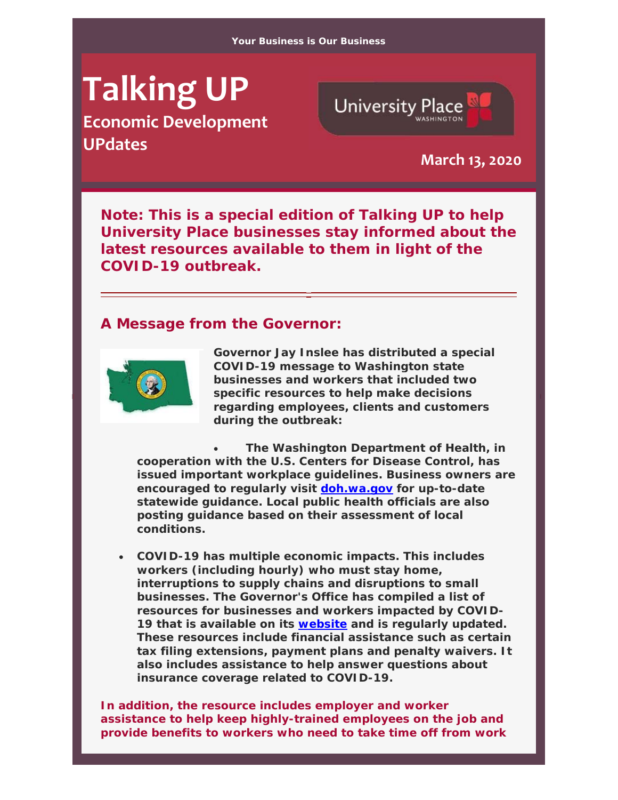# **Talking UP**

**Economic Development UPdates March 13, <sup>2020</sup>**



*Note: This is a special edition of Talking UP to help University Place businesses stay informed about the latest resources available to them in light of the COVID-19 outbreak.*

#### **A Message from the Governor:**



**Governor Jay Inslee has distributed a special COVID-19 message to Washington state businesses and workers that included two specific resources to help make decisions regarding employees, clients and customers during the outbreak:**

 **The Washington Department of Health, in cooperation with the U.S. Centers for Disease Control, has issued important workplace guidelines. Business owners are encouraged to regularly visit doh.wa.gov for up-to-date statewide guidance. Local public health officials are also posting guidance based on their assessment of local conditions.**

 **COVID-19 has multiple economic impacts. This includes workers (including hourly) who must stay home, interruptions to supply chains and disruptions to small businesses. The Governor's Office has compiled a list of resources for businesses and workers impacted by COVID-19 that is available on its website and is regularly updated. These resources include financial assistance such as certain tax filing extensions, payment plans and penalty waivers. It also includes assistance to help answer questions about insurance coverage related to COVID-19.**

**In addition, the resource includes employer and worker assistance to help keep highly-trained employees on the job and provide benefits to workers who need to take time off from work**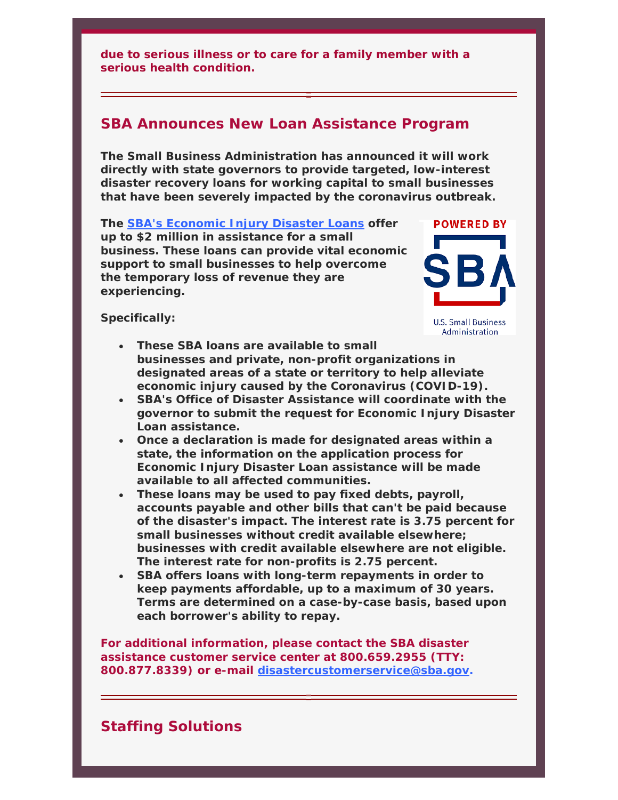**due to serious illness or to care for a family member with a serious health condition.**

### **SBA Announces New Loan Assistance Program**

**The Small Business Administration has announced it will work directly with state governors to provide targeted, low-interest disaster recovery loans for working capital to small businesses that have been severely impacted by the coronavirus outbreak.** 

**The SBA's Economic Injury Disaster Loans offer up to \$2 million in assistance for a small business. These loans can provide vital economic support to small businesses to help overcome the temporary loss of revenue they are experiencing.** 



**Specifically:** 

- **These SBA loans are available to small businesses and private, non-profit organizations in designated areas of a state or territory to help alleviate economic injury caused by the Coronavirus (COVID-19).**
- **SBA's Office of Disaster Assistance will coordinate with the governor to submit the request for Economic Injury Disaster Loan assistance.**
- **Once a declaration is made for designated areas within a state, the information on the application process for Economic Injury Disaster Loan assistance will be made available to all affected communities.**
- **These loans may be used to pay fixed debts, payroll, accounts payable and other bills that can't be paid because of the disaster's impact. The interest rate is 3.75 percent for small businesses without credit available elsewhere; businesses with credit available elsewhere are not eligible. The interest rate for non-profits is 2.75 percent.**
- **SBA offers loans with long-term repayments in order to keep payments affordable, up to a maximum of 30 years. Terms are determined on a case-by-case basis, based upon each borrower's ability to repay.**

**For additional information, please contact the SBA disaster assistance customer service center at 800.659.2955 (TTY: 800.877.8339) or e-mail disastercustomerservice@sba.gov.**

# **Staffing Solutions**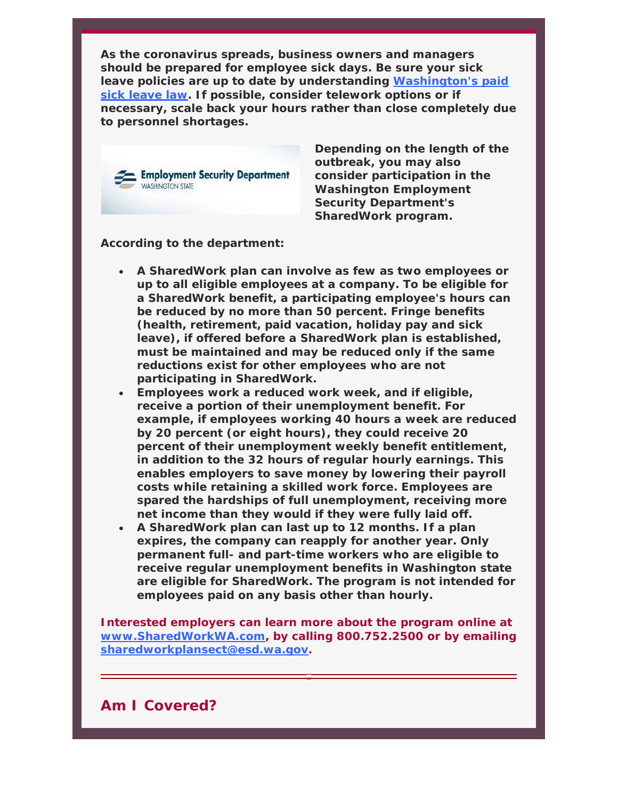**As the coronavirus spreads, business owners and managers should be prepared for employee sick days. Be sure your sick leave policies are up to date by understanding Washington's paid sick leave law. If possible, consider telework options or if necessary, scale back your hours rather than close completely due to personnel shortages.**



**Depending on the length of the outbreak, you may also consider participation in the Washington Employment Security Department's SharedWork program.** 

**According to the department:**

- **A SharedWork plan can involve as few as two employees or up to all eligible employees at a company. To be eligible for a SharedWork benefit, a participating employee's hours can be reduced by no more than 50 percent. Fringe benefits (health, retirement, paid vacation, holiday pay and sick leave), if offered before a SharedWork plan is established, must be maintained and may be reduced only if the same reductions exist for other employees who are not participating in SharedWork.**
- **Employees work a reduced work week, and if eligible, receive a portion of their unemployment benefit. For example, if employees working 40 hours a week are reduced by 20 percent (or eight hours), they could receive 20 percent of their unemployment weekly benefit entitlement, in addition to the 32 hours of regular hourly earnings. This enables employers to save money by lowering their payroll costs while retaining a skilled work force. Employees are spared the hardships of full unemployment, receiving more net income than they would if they were fully laid off.**
- **A SharedWork plan can last up to 12 months. If a plan expires, the company can reapply for another year. Only permanent full- and part-time workers who are eligible to receive regular unemployment benefits in Washington state are eligible for SharedWork. The program is not intended for employees paid on any basis other than hourly.**

**Interested employers can learn more about the program online at www.SharedWorkWA.com, by calling 800.752.2500 or by emailing sharedworkplansect@esd.wa.gov.**

#### **Am I Covered?**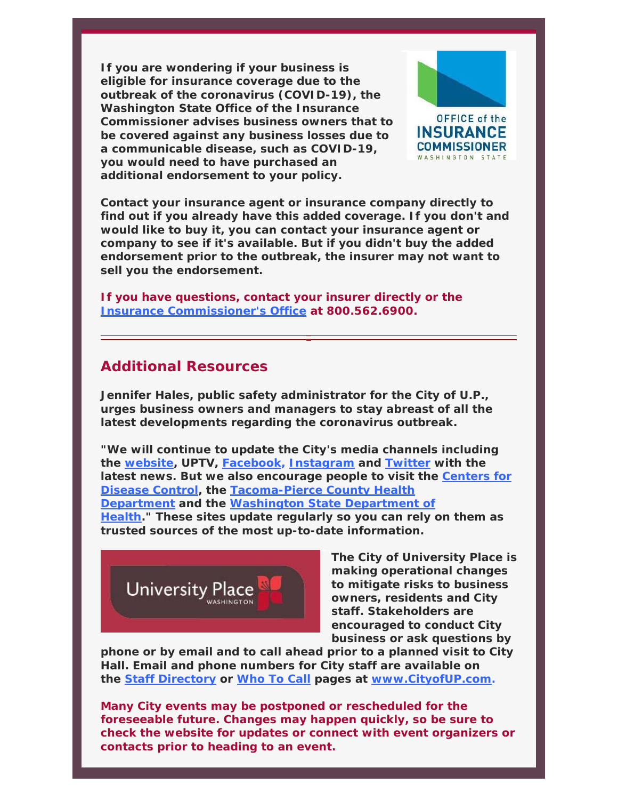**If you are wondering if your business is eligible for insurance coverage due to the outbreak of the coronavirus (COVID-19), the Washington State Office of the Insurance Commissioner advises business owners that to be covered against any business losses due to a communicable disease, such as COVID-19, you would need to have purchased an additional endorsement to your policy.**



**Contact your insurance agent or insurance company directly to find out if you already have this added coverage. If you don't and would like to buy it, you can contact your insurance agent or company to see if it's available. But if you didn't buy the added endorsement prior to the outbreak, the insurer may not want to sell you the endorsement.**

**If you have questions, contact your insurer directly or the Insurance Commissioner's Office at 800.562.6900.** 

# **Additional Resources**

**Jennifer Hales, public safety administrator for the City of U.P., urges business owners and managers to stay abreast of all the latest developments regarding the coronavirus outbreak.**

**"We will continue to update the City's media channels including the website, UPTV, Facebook, Instagram and Twitter with the latest news. But we also encourage people to visit the Centers for Disease Control, the Tacoma-Pierce County Health Department and the Washington State Department of Health." These sites update regularly so you can rely on them as trusted sources of the most up-to-date information.**



**The City of University Place is making operational changes to mitigate risks to business owners, residents and City staff. Stakeholders are encouraged to conduct City business or ask questions by** 

**phone or by email and to call ahead prior to a planned visit to City Hall. Email and phone numbers for City staff are available on the Staff Directory or Who To Call pages at www.CityofUP.com.** 

**Many City events may be postponed or rescheduled for the foreseeable future. Changes may happen quickly, so be sure to check the website for updates or connect with event organizers or contacts prior to heading to an event.**